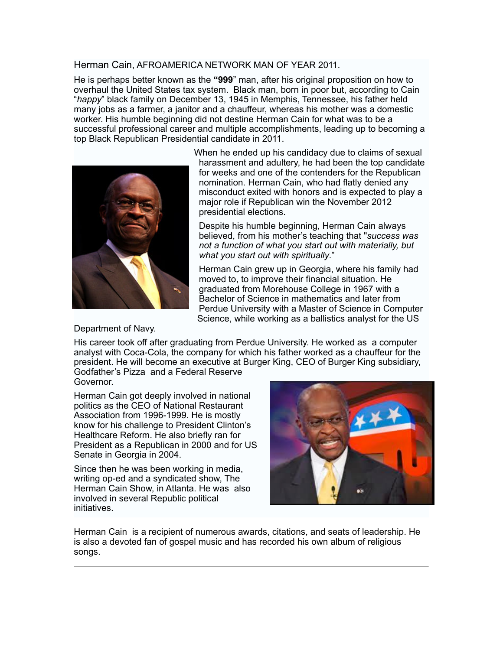## Herman Cain, AFROAMERICA NETWORK MAN OF YEAR 2011.

He is perhaps better known as the **"999**" man, after his original proposition on how to overhaul the United States tax system. Black man, born in poor but, according to Cain "*happy*" black family on December 13, 1945 in Memphis, Tennessee, his father held many jobs as a farmer, a janitor and a chauffeur, whereas his mother was a domestic worker. His humble beginning did not destine Herman Cain for what was to be a successful professional career and multiple accomplishments, leading up to becoming a top Black Republican Presidential candidate in 2011.



When he ended up his candidacy due to claims of sexual harassment and adultery, he had been the top candidate for weeks and one of the contenders for the Republican nomination. Herman Cain, who had flatly denied any misconduct exited with honors and is expected to play a major role if Republican win the November 2012 presidential elections.

Despite his humble beginning, Herman Cain always believed, from his mother's teaching that "*success was not a function of what you start out with materially, but what you start out with spiritually*."

Herman Cain grew up in Georgia, where his family had moved to, to improve their financial situation. He graduated from Morehouse College in 1967 with a [Bachelor of Science](http://en.wikipedia.org/wiki/Bachelor_of_Science) in [mathematics](http://en.wikipedia.org/wiki/Mathematics) and later from Perdue University with a Master of Science in Computer Science, while working as a [ballistics](http://en.wikipedia.org/wiki/Ballistics) [analyst](http://en.wikipedia.org/wiki/Analyst) for the US

Department of Navy.

His career took off after graduating from Perdue University. He worked as a computer analyst with Coca-Cola, the company for which his father worked as a chauffeur for the president. He will become an executive at Burger King, CEO of Burger King subsidiary, Godfather's Pizza and a Federal Reserve

Governor.

Herman Cain got deeply involved in national politics as the CEO of National Restaurant Association from 1996-1999. He is mostly know for his challenge to President Clinton's Healthcare Reform. He also briefly ran for President as a Republican in 2000 and for US Senate in Georgia in 2004.

Since then he was been working in media, writing op-ed and a syndicated show, The Herman Cain Show, in Atlanta. He was also involved in several Republic political initiatives.



Herman Cain is a recipient of numerous awards, citations, and seats of leadership. He is also a devoted fan of gospel music and has recorded his own album of religious songs.